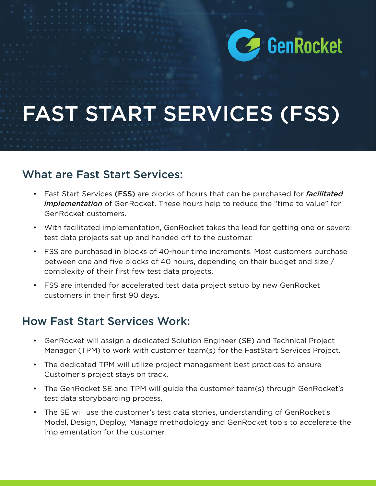

# FAST START SERVICES (FSS)

#### What are Fast Start Services:

- Fast Start Services (FSS) are blocks of hours that can be purchased for *facilitated implementation* of GenRocket. These hours help to reduce the "time to value" for GenRocket customers.
- With facilitated implementation, GenRocket takes the lead for getting one or several test data projects set up and handed off to the customer.
- FSS are purchased in blocks of 40-hour time increments. Most customers purchase between one and five blocks of 40 hours, depending on their budget and size / complexity of their first few test data projects.
- FSS are intended for accelerated test data project setup by new GenRocket customers in their first 90 days.

#### How Fast Start Services Work:

- GenRocket will assign a dedicated Solution Engineer (SE) and Technical Project Manager (TPM) to work with customer team(s) for the FastStart Services Project.
- The dedicated TPM will utilize project management best practices to ensure Customer's project stays on track.
- The GenRocket SE and TPM will guide the customer team(s) through GenRocket's test data storyboarding process.
- The SE will use the customer's test data stories, understanding of GenRocket's Model, Design, Deploy, Manage methodology and GenRocket tools to accelerate the implementation for the customer.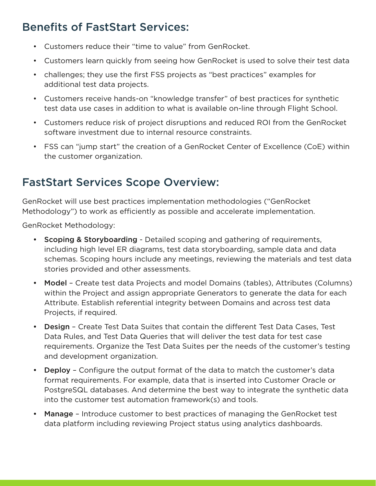### Benefits of FastStart Services:

- Customers reduce their "time to value" from GenRocket.
- Customers learn quickly from seeing how GenRocket is used to solve their test data
- challenges; they use the first FSS projects as "best practices" examples for additional test data projects.
- Customers receive hands-on "knowledge transfer" of best practices for synthetic test data use cases in addition to what is available on-line through Flight School.
- Customers reduce risk of project disruptions and reduced ROI from the GenRocket software investment due to internal resource constraints.
- FSS can "jump start" the creation of a GenRocket Center of Excellence (CoE) within the customer organization.

# FastStart Services Scope Overview:

GenRocket will use best practices implementation methodologies ("GenRocket Methodology") to work as efficiently as possible and accelerate implementation.

GenRocket Methodology:

- **Scoping & Storyboarding Detailed scoping and gathering of requirements,** including high level ER diagrams, test data storyboarding, sample data and data schemas. Scoping hours include any meetings, reviewing the materials and test data stories provided and other assessments.
- Model Create test data Projects and model Domains (tables), Attributes (Columns) within the Project and assign appropriate Generators to generate the data for each Attribute. Establish referential integrity between Domains and across test data Projects, if required.
- Design Create Test Data Suites that contain the different Test Data Cases, Test Data Rules, and Test Data Queries that will deliver the test data for test case requirements. Organize the Test Data Suites per the needs of the customer's testing and development organization.
- Deploy Configure the output format of the data to match the customer's data format requirements. For example, data that is inserted into Customer Oracle or PostgreSQL databases. And determine the best way to integrate the synthetic data into the customer test automation framework(s) and tools.
- Manage Introduce customer to best practices of managing the GenRocket test data platform including reviewing Project status using analytics dashboards.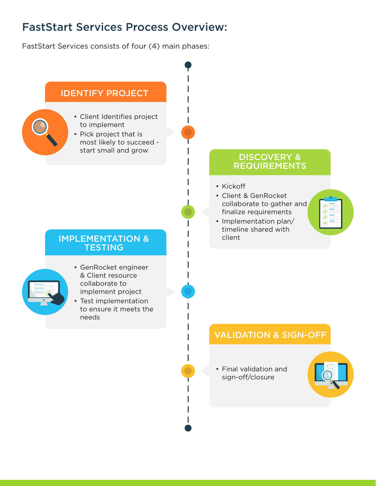#### FastStart Services Process Overview:

FastStart Services consists of four (4) main phases: